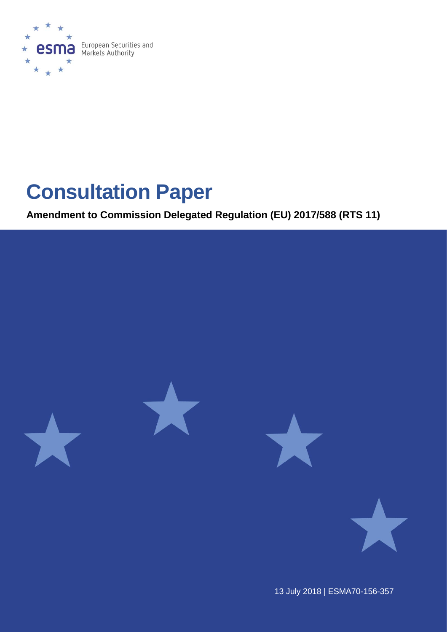

# **Consultation Paper**

**Amendment to Commission Delegated Regulation (EU) 2017/588 (RTS 11)**



13 July 2018 | ESMA70-156-357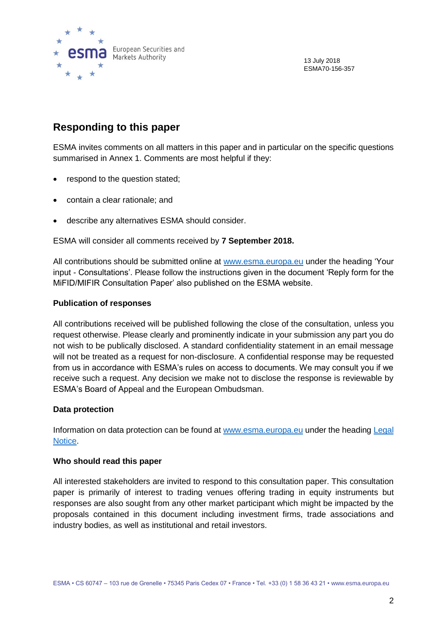

13 July 2018 ESMA70-156-357

### **Responding to this paper**

ESMA invites comments on all matters in this paper and in particular on the specific questions summarised in Annex 1. Comments are most helpful if they:

- respond to the question stated;
- contain a clear rationale; and
- describe any alternatives ESMA should consider.

ESMA will consider all comments received by **7 September 2018.** 

All contributions should be submitted online at [www.esma.europa.eu](http://www.esma.europa.eu/) under the heading 'Your input - Consultations'. Please follow the instructions given in the document 'Reply form for the MiFID/MIFIR Consultation Paper' also published on the ESMA website.

#### **Publication of responses**

All contributions received will be published following the close of the consultation, unless you request otherwise. Please clearly and prominently indicate in your submission any part you do not wish to be publically disclosed. A standard confidentiality statement in an email message will not be treated as a request for non-disclosure. A confidential response may be requested from us in accordance with ESMA's rules on access to documents. We may consult you if we receive such a request. Any decision we make not to disclose the response is reviewable by ESMA's Board of Appeal and the European Ombudsman.

#### **Data protection**

Information on data protection can be found at [www.esma.europa.eu](http://www.esma.europa.eu/) under the heading [Legal](http://www.esma.europa.eu/legal-notice)  [Notice.](http://www.esma.europa.eu/legal-notice)

#### **Who should read this paper**

All interested stakeholders are invited to respond to this consultation paper. This consultation paper is primarily of interest to trading venues offering trading in equity instruments but responses are also sought from any other market participant which might be impacted by the proposals contained in this document including investment firms, trade associations and industry bodies, as well as institutional and retail investors.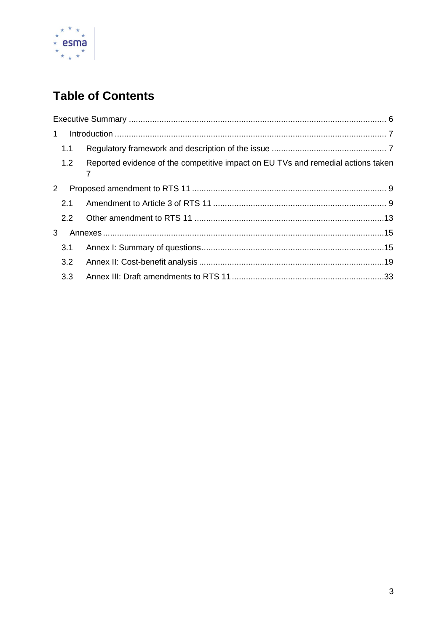

# **Table of Contents**

| $\mathbf 1$           |     |                                                                                  |  |
|-----------------------|-----|----------------------------------------------------------------------------------|--|
|                       | 1.1 |                                                                                  |  |
|                       | 1.2 | Reported evidence of the competitive impact on EU TVs and remedial actions taken |  |
| $\mathbf{2}^{\prime}$ |     |                                                                                  |  |
|                       | 2.1 |                                                                                  |  |
|                       | 2.2 |                                                                                  |  |
| 3                     |     |                                                                                  |  |
|                       | 3.1 |                                                                                  |  |
|                       | 3.2 |                                                                                  |  |
|                       | 3.3 |                                                                                  |  |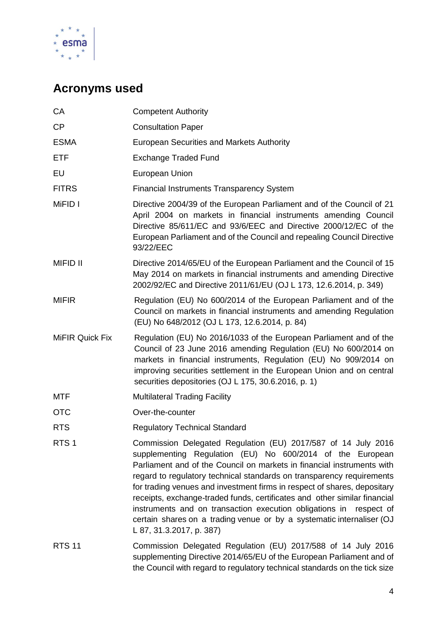

# **Acronyms used**

| СA                     | <b>Competent Authority</b>                                                                                                                                                                                                                                                                                                                                                                                                                                                                                                                                                                                           |
|------------------------|----------------------------------------------------------------------------------------------------------------------------------------------------------------------------------------------------------------------------------------------------------------------------------------------------------------------------------------------------------------------------------------------------------------------------------------------------------------------------------------------------------------------------------------------------------------------------------------------------------------------|
| <b>CP</b>              | <b>Consultation Paper</b>                                                                                                                                                                                                                                                                                                                                                                                                                                                                                                                                                                                            |
| <b>ESMA</b>            | <b>European Securities and Markets Authority</b>                                                                                                                                                                                                                                                                                                                                                                                                                                                                                                                                                                     |
| ETF                    | <b>Exchange Traded Fund</b>                                                                                                                                                                                                                                                                                                                                                                                                                                                                                                                                                                                          |
| EU                     | European Union                                                                                                                                                                                                                                                                                                                                                                                                                                                                                                                                                                                                       |
| <b>FITRS</b>           | <b>Financial Instruments Transparency System</b>                                                                                                                                                                                                                                                                                                                                                                                                                                                                                                                                                                     |
| MiFID I                | Directive 2004/39 of the European Parliament and of the Council of 21<br>April 2004 on markets in financial instruments amending Council<br>Directive 85/611/EC and 93/6/EEC and Directive 2000/12/EC of the<br>European Parliament and of the Council and repealing Council Directive<br>93/22/EEC                                                                                                                                                                                                                                                                                                                  |
| <b>MIFID II</b>        | Directive 2014/65/EU of the European Parliament and the Council of 15<br>May 2014 on markets in financial instruments and amending Directive<br>2002/92/EC and Directive 2011/61/EU (OJ L 173, 12.6.2014, p. 349)                                                                                                                                                                                                                                                                                                                                                                                                    |
| <b>MIFIR</b>           | Regulation (EU) No 600/2014 of the European Parliament and of the<br>Council on markets in financial instruments and amending Regulation<br>(EU) No 648/2012 (OJ L 173, 12.6.2014, p. 84)                                                                                                                                                                                                                                                                                                                                                                                                                            |
| <b>MiFIR Quick Fix</b> | Regulation (EU) No 2016/1033 of the European Parliament and of the<br>Council of 23 June 2016 amending Regulation (EU) No 600/2014 on<br>markets in financial instruments, Regulation (EU) No 909/2014 on<br>improving securities settlement in the European Union and on central<br>securities depositories (OJ L 175, 30.6.2016, p. 1)                                                                                                                                                                                                                                                                             |
| MTF                    | <b>Multilateral Trading Facility</b>                                                                                                                                                                                                                                                                                                                                                                                                                                                                                                                                                                                 |
| OTC                    | Over-the-counter                                                                                                                                                                                                                                                                                                                                                                                                                                                                                                                                                                                                     |
| <b>RTS</b>             | <b>Regulatory Technical Standard</b>                                                                                                                                                                                                                                                                                                                                                                                                                                                                                                                                                                                 |
| RTS <sub>1</sub>       | Commission Delegated Regulation (EU) 2017/587 of 14 July 2016<br>supplementing Regulation (EU) No 600/2014 of the European<br>Parliament and of the Council on markets in financial instruments with<br>regard to regulatory technical standards on transparency requirements<br>for trading venues and investment firms in respect of shares, depositary<br>receipts, exchange-traded funds, certificates and other similar financial<br>instruments and on transaction execution obligations in<br>respect of<br>certain shares on a trading venue or by a systematic internaliser (OJ<br>L 87, 31.3.2017, p. 387) |
| <b>RTS 11</b>          | Commission Delegated Regulation (EU) 2017/588 of 14 July 2016<br>supplementing Directive 2014/65/EU of the European Parliament and of<br>the Council with regard to regulatory technical standards on the tick size                                                                                                                                                                                                                                                                                                                                                                                                  |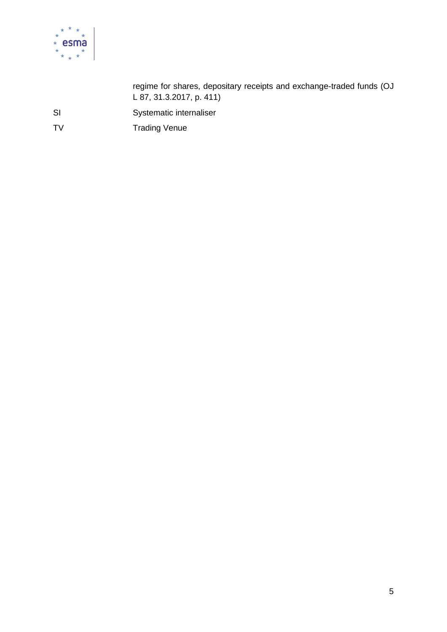

regime for shares, depositary receipts and exchange-traded funds (OJ L 87, 31.3.2017, p. 411)

SI Systematic internaliser

TV Trading Venue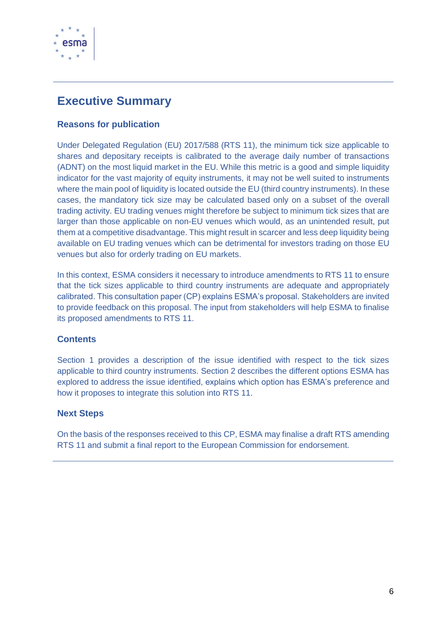

# <span id="page-5-0"></span>**Executive Summary**

#### **Reasons for publication**

Under Delegated Regulation (EU) 2017/588 (RTS 11), the minimum tick size applicable to shares and depositary receipts is calibrated to the average daily number of transactions (ADNT) on the most liquid market in the EU. While this metric is a good and simple liquidity indicator for the vast majority of equity instruments, it may not be well suited to instruments where the main pool of liquidity is located outside the EU (third country instruments). In these cases, the mandatory tick size may be calculated based only on a subset of the overall trading activity. EU trading venues might therefore be subject to minimum tick sizes that are larger than those applicable on non-EU venues which would, as an unintended result, put them at a competitive disadvantage. This might result in scarcer and less deep liquidity being available on EU trading venues which can be detrimental for investors trading on those EU venues but also for orderly trading on EU markets.

In this context, ESMA considers it necessary to introduce amendments to RTS 11 to ensure that the tick sizes applicable to third country instruments are adequate and appropriately calibrated. This consultation paper (CP) explains ESMA's proposal. Stakeholders are invited to provide feedback on this proposal. The input from stakeholders will help ESMA to finalise its proposed amendments to RTS 11.

#### **Contents**

Section 1 provides a description of the issue identified with respect to the tick sizes applicable to third country instruments. Section 2 describes the different options ESMA has explored to address the issue identified, explains which option has ESMA's preference and how it proposes to integrate this solution into RTS 11.

#### **Next Steps**

On the basis of the responses received to this CP, ESMA may finalise a draft RTS amending RTS 11 and submit a final report to the European Commission for endorsement.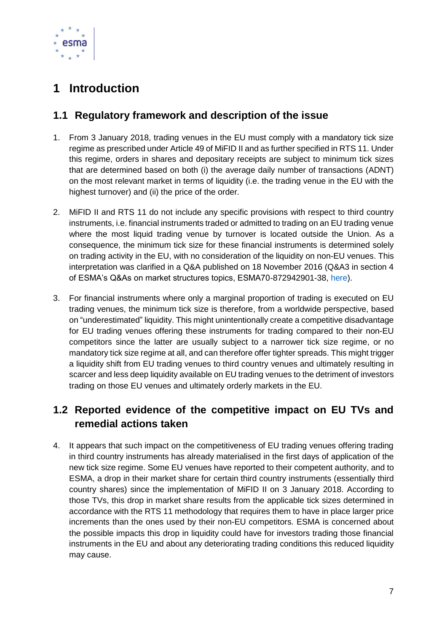

# <span id="page-6-0"></span>**1 Introduction**

### <span id="page-6-1"></span>**1.1 Regulatory framework and description of the issue**

- 1. From 3 January 2018, trading venues in the EU must comply with a mandatory tick size regime as prescribed under Article 49 of MiFID II and as further specified in RTS 11. Under this regime, orders in shares and depositary receipts are subject to minimum tick sizes that are determined based on both (i) the average daily number of transactions (ADNT) on the most relevant market in terms of liquidity (i.e. the trading venue in the EU with the highest turnover) and (ii) the price of the order.
- 2. MiFID II and RTS 11 do not include any specific provisions with respect to third country instruments, i.e. financial instruments traded or admitted to trading on an EU trading venue where the most liquid trading venue by turnover is located outside the Union. As a consequence, the minimum tick size for these financial instruments is determined solely on trading activity in the EU, with no consideration of the liquidity on non-EU venues. This interpretation was clarified in a Q&A published on 18 November 2016 (Q&A3 in section 4 of ESMA's Q&As on market structures topics, ESMA70-872942901-38, [here\)](https://www.esma.europa.eu/sites/default/files/library/esma70-872942901-38_qas_markets_structures_issues.pdf).
- 3. For financial instruments where only a marginal proportion of trading is executed on EU trading venues, the minimum tick size is therefore, from a worldwide perspective, based on "underestimated" liquidity. This might unintentionally create a competitive disadvantage for EU trading venues offering these instruments for trading compared to their non-EU competitors since the latter are usually subject to a narrower tick size regime, or no mandatory tick size regime at all, and can therefore offer tighter spreads. This might trigger a liquidity shift from EU trading venues to third country venues and ultimately resulting in scarcer and less deep liquidity available on EU trading venues to the detriment of investors trading on those EU venues and ultimately orderly markets in the EU.

## <span id="page-6-2"></span>**1.2 Reported evidence of the competitive impact on EU TVs and remedial actions taken**

4. It appears that such impact on the competitiveness of EU trading venues offering trading in third country instruments has already materialised in the first days of application of the new tick size regime. Some EU venues have reported to their competent authority, and to ESMA, a drop in their market share for certain third country instruments (essentially third country shares) since the implementation of MiFID II on 3 January 2018. According to those TVs, this drop in market share results from the applicable tick sizes determined in accordance with the RTS 11 methodology that requires them to have in place larger price increments than the ones used by their non-EU competitors. ESMA is concerned about the possible impacts this drop in liquidity could have for investors trading those financial instruments in the EU and about any deteriorating trading conditions this reduced liquidity may cause.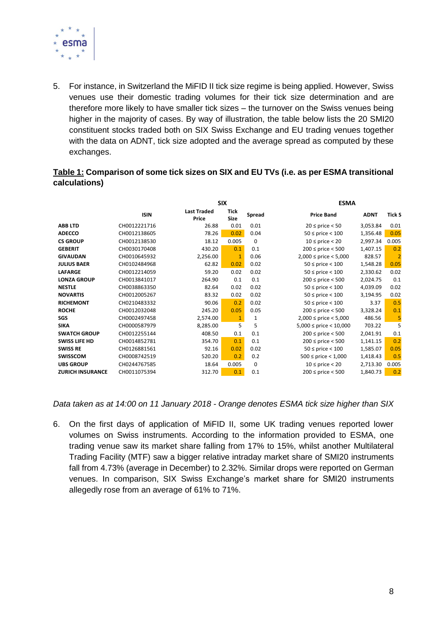

5. For instance, in Switzerland the MiFID II tick size regime is being applied. However, Swiss venues use their domestic trading volumes for their tick size determination and are therefore more likely to have smaller tick sizes – the turnover on the Swiss venues being higher in the majority of cases. By way of illustration, the table below lists the 20 SMI20 constituent stocks traded both on SIX Swiss Exchange and EU trading venues together with the data on ADNT, tick size adopted and the average spread as computed by these exchanges.

#### **Table 1: Comparison of some tick sizes on SIX and EU TVs (i.e. as per ESMA transitional calculations)**

|                         |              |                             | <b>SIX</b>          |               | <b>ESMA</b>                  |             |                |  |
|-------------------------|--------------|-----------------------------|---------------------|---------------|------------------------------|-------------|----------------|--|
|                         | <b>ISIN</b>  | <b>Last Traded</b><br>Price | <b>Tick</b><br>Size | <b>Spread</b> | <b>Price Band</b>            | <b>ADNT</b> | <b>Tick S</b>  |  |
| <b>ABB LTD</b>          | CH0012221716 | 26.88                       | 0.01                | 0.01          | $20 \le$ price $< 50$        | 3,053.84    | 0.01           |  |
| <b>ADECCO</b>           | CH0012138605 | 78.26                       | 0.02                | 0.04          | $50 \le$ price $< 100$       | 1,356.48    | 0.05           |  |
| <b>CS GROUP</b>         | CH0012138530 | 18.12                       | 0.005               | 0             | $10 \le$ price < 20          | 2,997.34    | 0.005          |  |
| <b>GEBERIT</b>          | CH0030170408 | 430.20                      | 0.1                 | 0.1           | $200 \le$ price < 500        | 1,407.15    | 0.2            |  |
| <b>GIVAUDAN</b>         | CH0010645932 | 2,256.00                    | 1                   | 0.06          | $2,000 \le$ price $< 5,000$  | 828.57      | $\overline{2}$ |  |
| <b>JULIUS BAER</b>      | CH0102484968 | 62.82                       | 0.02                | 0.02          | $50 \le$ price $< 100$       | 1,548.28    | 0.05           |  |
| <b>LAFARGE</b>          | CH0012214059 | 59.20                       | 0.02                | 0.02          | $50 \le$ price $< 100$       | 2,330.62    | 0.02           |  |
| <b>LONZA GROUP</b>      | CH0013841017 | 264.90                      | 0.1                 | 0.1           | $200 \le$ price < 500        | 2,024.75    | 0.1            |  |
| <b>NESTLE</b>           | CH0038863350 | 82.64                       | 0.02                | 0.02          | $50 \le$ price $< 100$       | 4,039.09    | 0.02           |  |
| <b>NOVARTIS</b>         | CH0012005267 | 83.32                       | 0.02                | 0.02          | $50 \le$ price $< 100$       | 3,194.95    | 0.02           |  |
| <b>RICHEMONT</b>        | CH0210483332 | 90.06                       | 0.2                 | 0.02          | $50 \le$ price $< 100$       | 3.37        | 0.5            |  |
| <b>ROCHE</b>            | CH0012032048 | 245.20                      | 0.05                | 0.05          | $200 \le$ price < 500        | 3,328.24    | 0.1            |  |
| SGS                     | CH0002497458 | 2,574.00                    | 1                   | 1             | $2,000 \le$ price $< 5,000$  | 486.56      | 5              |  |
| <b>SIKA</b>             | CH0000587979 | 8,285.00                    | 5                   | 5             | $5,000 \le$ price $< 10,000$ | 703.22      | 5              |  |
| <b>SWATCH GROUP</b>     | CH0012255144 | 408.50                      | 0.1                 | 0.1           | $200 \le$ price < 500        | 2,041.91    | 0.1            |  |
| <b>SWISS LIFE HD</b>    | CH0014852781 | 354.70                      | 0.1                 | 0.1           | $200 \le$ price < 500        | 1,141.15    | 0.2            |  |
| <b>SWISS RE</b>         | CH0126881561 | 92.16                       | 0.02                | 0.02          | $50 \le$ price < 100         | 1,585.07    | 0.05           |  |
| <b>SWISSCOM</b>         | CH0008742519 | 520.20                      | 0.2                 | 0.2           | $500 \le$ price $< 1,000$    | 1,418.43    | 0.5            |  |
| <b>UBS GROUP</b>        | CH0244767585 | 18.64                       | 0.005               | 0             | $10 \le$ price < 20          | 2,713.30    | 0.005          |  |
| <b>ZURICH INSURANCE</b> | CH0011075394 | 312.70                      | 0.1                 | 0.1           | $200 \le$ price $< 500$      | 1,840.73    | 0.2            |  |

#### *Data taken as at 14:00 on 11 January 2018 - Orange denotes ESMA tick size higher than SIX*

6. On the first days of application of MiFID II, some UK trading venues reported lower volumes on Swiss instruments. According to the information provided to ESMA, one trading venue saw its market share falling from 17% to 15%, whilst another Multilateral Trading Facility (MTF) saw a bigger relative intraday market share of SMI20 instruments fall from 4.73% (average in December) to 2.32%. Similar drops were reported on German venues. In comparison, SIX Swiss Exchange's market share for SMI20 instruments allegedly rose from an average of 61% to 71%.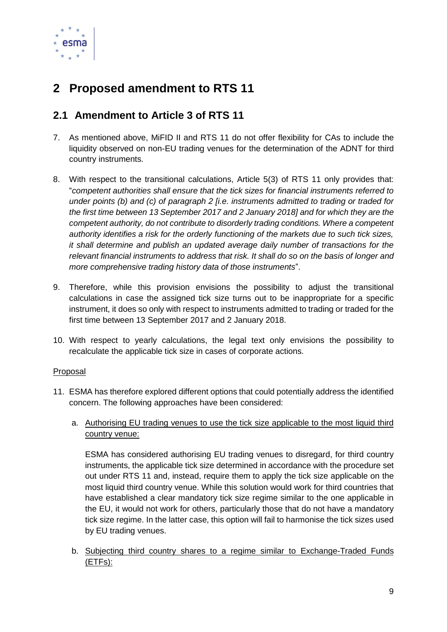

# <span id="page-8-0"></span>**2 Proposed amendment to RTS 11**

### <span id="page-8-1"></span>**2.1 Amendment to Article 3 of RTS 11**

- 7. As mentioned above, MiFID II and RTS 11 do not offer flexibility for CAs to include the liquidity observed on non-EU trading venues for the determination of the ADNT for third country instruments.
- 8. With respect to the transitional calculations, Article 5(3) of RTS 11 only provides that: "*competent authorities shall ensure that the tick sizes for financial instruments referred to under points (b) and (c) of paragraph 2 [i.e. instruments admitted to trading or traded for the first time between 13 September 2017 and 2 January 2018] and for which they are the competent authority, do not contribute to disorderly trading conditions. Where a competent authority identifies a risk for the orderly functioning of the markets due to such tick sizes, it shall determine and publish an updated average daily number of transactions for the relevant financial instruments to address that risk. It shall do so on the basis of longer and more comprehensive trading history data of those instruments*".
- 9. Therefore, while this provision envisions the possibility to adjust the transitional calculations in case the assigned tick size turns out to be inappropriate for a specific instrument, it does so only with respect to instruments admitted to trading or traded for the first time between 13 September 2017 and 2 January 2018.
- 10. With respect to yearly calculations, the legal text only envisions the possibility to recalculate the applicable tick size in cases of corporate actions.

#### Proposal

- 11. ESMA has therefore explored different options that could potentially address the identified concern. The following approaches have been considered:
	- a. Authorising EU trading venues to use the tick size applicable to the most liquid third country venue:

ESMA has considered authorising EU trading venues to disregard, for third country instruments, the applicable tick size determined in accordance with the procedure set out under RTS 11 and, instead, require them to apply the tick size applicable on the most liquid third country venue. While this solution would work for third countries that have established a clear mandatory tick size regime similar to the one applicable in the EU, it would not work for others, particularly those that do not have a mandatory tick size regime. In the latter case, this option will fail to harmonise the tick sizes used by EU trading venues.

b. Subjecting third country shares to a regime similar to Exchange-Traded Funds (ETFs):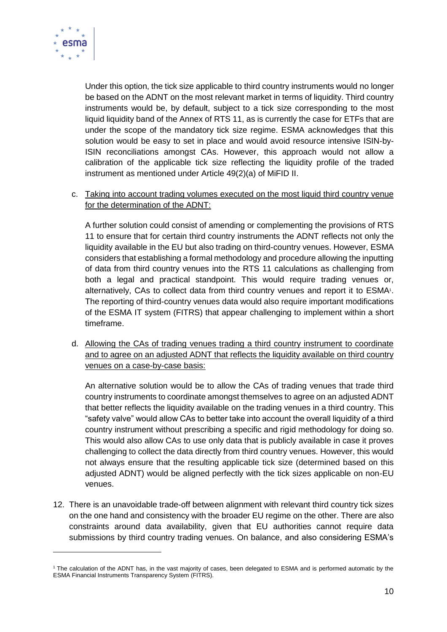

-

Under this option, the tick size applicable to third country instruments would no longer be based on the ADNT on the most relevant market in terms of liquidity. Third country instruments would be, by default, subject to a tick size corresponding to the most liquid liquidity band of the Annex of RTS 11, as is currently the case for ETFs that are under the scope of the mandatory tick size regime. ESMA acknowledges that this solution would be easy to set in place and would avoid resource intensive ISIN-by-ISIN reconciliations amongst CAs. However, this approach would not allow a calibration of the applicable tick size reflecting the liquidity profile of the traded instrument as mentioned under Article 49(2)(a) of MiFID II.

c. Taking into account trading volumes executed on the most liquid third country venue for the determination of the ADNT:

A further solution could consist of amending or complementing the provisions of RTS 11 to ensure that for certain third country instruments the ADNT reflects not only the liquidity available in the EU but also trading on third-country venues. However, ESMA considers that establishing a formal methodology and procedure allowing the inputting of data from third country venues into the RTS 11 calculations as challenging from both a legal and practical standpoint. This would require trading venues or, alternatively, CAs to collect data from third country venues and report it to ESMA<sup>1</sup>. The reporting of third-country venues data would also require important modifications of the ESMA IT system (FITRS) that appear challenging to implement within a short timeframe.

d. Allowing the CAs of trading venues trading a third country instrument to coordinate and to agree on an adjusted ADNT that reflects the liquidity available on third country venues on a case-by-case basis:

An alternative solution would be to allow the CAs of trading venues that trade third country instruments to coordinate amongst themselves to agree on an adjusted ADNT that better reflects the liquidity available on the trading venues in a third country. This "safety valve" would allow CAs to better take into account the overall liquidity of a third country instrument without prescribing a specific and rigid methodology for doing so. This would also allow CAs to use only data that is publicly available in case it proves challenging to collect the data directly from third country venues. However, this would not always ensure that the resulting applicable tick size (determined based on this adjusted ADNT) would be aligned perfectly with the tick sizes applicable on non-EU venues.

12. There is an unavoidable trade-off between alignment with relevant third country tick sizes on the one hand and consistency with the broader EU regime on the other. There are also constraints around data availability, given that EU authorities cannot require data submissions by third country trading venues. On balance, and also considering ESMA's

<sup>1</sup> The calculation of the ADNT has, in the vast majority of cases, been delegated to ESMA and is performed automatic by the ESMA Financial Instruments Transparency System (FITRS).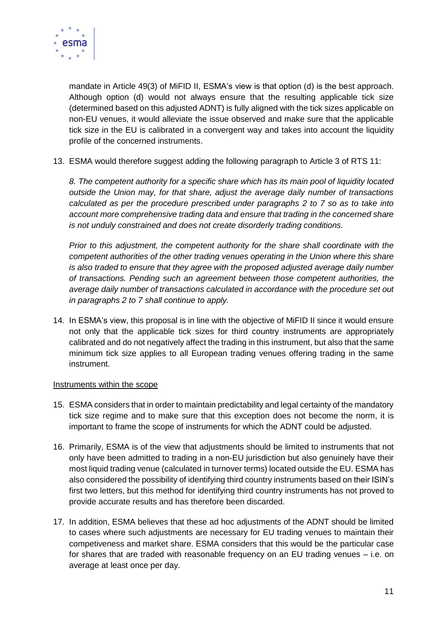

mandate in Article 49(3) of MiFID II, ESMA's view is that option (d) is the best approach. Although option (d) would not always ensure that the resulting applicable tick size (determined based on this adjusted ADNT) is fully aligned with the tick sizes applicable on non-EU venues, it would alleviate the issue observed and make sure that the applicable tick size in the EU is calibrated in a convergent way and takes into account the liquidity profile of the concerned instruments.

13. ESMA would therefore suggest adding the following paragraph to Article 3 of RTS 11:

*8. The competent authority for a specific share which has its main pool of liquidity located outside the Union may, for that share, adjust the average daily number of transactions calculated as per the procedure prescribed under paragraphs 2 to 7 so as to take into account more comprehensive trading data and ensure that trading in the concerned share is not unduly constrained and does not create disorderly trading conditions.* 

*Prior to this adjustment, the competent authority for the share shall coordinate with the competent authorities of the other trading venues operating in the Union where this share is also traded to ensure that they agree with the proposed adjusted average daily number of transactions. Pending such an agreement between those competent authorities, the average daily number of transactions calculated in accordance with the procedure set out in paragraphs 2 to 7 shall continue to apply.*

14. In ESMA's view, this proposal is in line with the objective of MiFID II since it would ensure not only that the applicable tick sizes for third country instruments are appropriately calibrated and do not negatively affect the trading in this instrument, but also that the same minimum tick size applies to all European trading venues offering trading in the same instrument.

#### Instruments within the scope

- 15. ESMA considers that in order to maintain predictability and legal certainty of the mandatory tick size regime and to make sure that this exception does not become the norm, it is important to frame the scope of instruments for which the ADNT could be adjusted.
- 16. Primarily, ESMA is of the view that adjustments should be limited to instruments that not only have been admitted to trading in a non-EU jurisdiction but also genuinely have their most liquid trading venue (calculated in turnover terms) located outside the EU. ESMA has also considered the possibility of identifying third country instruments based on their ISIN's first two letters, but this method for identifying third country instruments has not proved to provide accurate results and has therefore been discarded.
- 17. In addition, ESMA believes that these ad hoc adjustments of the ADNT should be limited to cases where such adjustments are necessary for EU trading venues to maintain their competiveness and market share. ESMA considers that this would be the particular case for shares that are traded with reasonable frequency on an EU trading venues – i.e. on average at least once per day.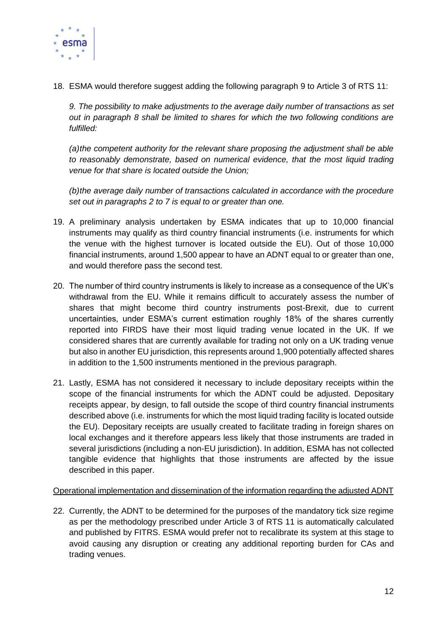

18. ESMA would therefore suggest adding the following paragraph 9 to Article 3 of RTS 11:

*9. The possibility to make adjustments to the average daily number of transactions as set out in paragraph 8 shall be limited to shares for which the two following conditions are fulfilled:* 

*(a)the competent authority for the relevant share proposing the adjustment shall be able to reasonably demonstrate, based on numerical evidence, that the most liquid trading venue for that share is located outside the Union;* 

*(b)the average daily number of transactions calculated in accordance with the procedure set out in paragraphs 2 to 7 is equal to or greater than one.*

- 19. A preliminary analysis undertaken by ESMA indicates that up to 10,000 financial instruments may qualify as third country financial instruments (i.e. instruments for which the venue with the highest turnover is located outside the EU). Out of those 10,000 financial instruments, around 1,500 appear to have an ADNT equal to or greater than one, and would therefore pass the second test.
- 20. The number of third country instruments is likely to increase as a consequence of the UK's withdrawal from the EU. While it remains difficult to accurately assess the number of shares that might become third country instruments post-Brexit, due to current uncertainties, under ESMA's current estimation roughly 18% of the shares currently reported into FIRDS have their most liquid trading venue located in the UK. If we considered shares that are currently available for trading not only on a UK trading venue but also in another EU jurisdiction, this represents around 1,900 potentially affected shares in addition to the 1,500 instruments mentioned in the previous paragraph.
- 21. Lastly, ESMA has not considered it necessary to include depositary receipts within the scope of the financial instruments for which the ADNT could be adjusted. Depositary receipts appear, by design, to fall outside the scope of third country financial instruments described above (i.e. instruments for which the most liquid trading facility is located outside the EU). Depositary receipts are usually created to facilitate trading in foreign shares on local exchanges and it therefore appears less likely that those instruments are traded in several jurisdictions (including a non-EU jurisdiction). In addition, ESMA has not collected tangible evidence that highlights that those instruments are affected by the issue described in this paper.

#### Operational implementation and dissemination of the information regarding the adjusted ADNT

22. Currently, the ADNT to be determined for the purposes of the mandatory tick size regime as per the methodology prescribed under Article 3 of RTS 11 is automatically calculated and published by FITRS. ESMA would prefer not to recalibrate its system at this stage to avoid causing any disruption or creating any additional reporting burden for CAs and trading venues.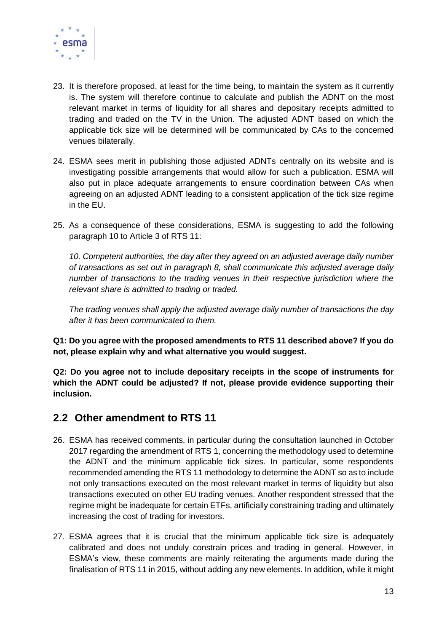

- 23. It is therefore proposed, at least for the time being, to maintain the system as it currently is. The system will therefore continue to calculate and publish the ADNT on the most relevant market in terms of liquidity for all shares and depositary receipts admitted to trading and traded on the TV in the Union. The adjusted ADNT based on which the applicable tick size will be determined will be communicated by CAs to the concerned venues bilaterally.
- 24. ESMA sees merit in publishing those adjusted ADNTs centrally on its website and is investigating possible arrangements that would allow for such a publication. ESMA will also put in place adequate arrangements to ensure coordination between CAs when agreeing on an adjusted ADNT leading to a consistent application of the tick size regime in the EU.
- 25. As a consequence of these considerations, ESMA is suggesting to add the following paragraph 10 to Article 3 of RTS 11:

*10. Competent authorities, the day after they agreed on an adjusted average daily number of transactions as set out in paragraph 8, shall communicate this adjusted average daily number of transactions to the trading venues in their respective jurisdiction where the relevant share is admitted to trading or traded.* 

*The trading venues shall apply the adjusted average daily number of transactions the day after it has been communicated to them.*

**Q1: Do you agree with the proposed amendments to RTS 11 described above? If you do not, please explain why and what alternative you would suggest.**

**Q2: Do you agree not to include depositary receipts in the scope of instruments for which the ADNT could be adjusted? If not, please provide evidence supporting their inclusion.**

#### <span id="page-12-0"></span>**2.2 Other amendment to RTS 11**

- 26. ESMA has received comments, in particular during the consultation launched in October 2017 regarding the amendment of RTS 1, concerning the methodology used to determine the ADNT and the minimum applicable tick sizes. In particular, some respondents recommended amending the RTS 11 methodology to determine the ADNT so as to include not only transactions executed on the most relevant market in terms of liquidity but also transactions executed on other EU trading venues. Another respondent stressed that the regime might be inadequate for certain ETFs, artificially constraining trading and ultimately increasing the cost of trading for investors.
- 27. ESMA agrees that it is crucial that the minimum applicable tick size is adequately calibrated and does not unduly constrain prices and trading in general. However, in ESMA's view, these comments are mainly reiterating the arguments made during the finalisation of RTS 11 in 2015, without adding any new elements. In addition, while it might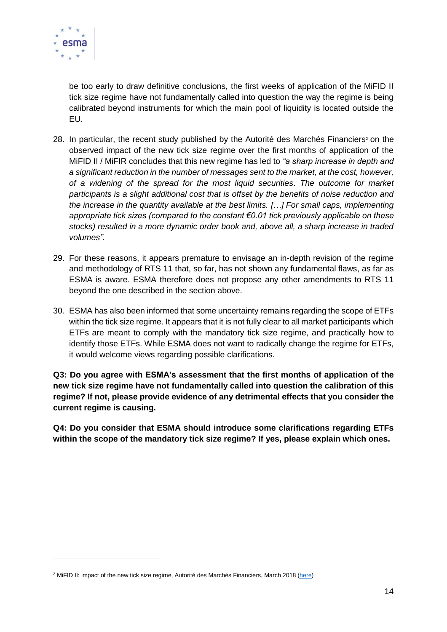

1

be too early to draw definitive conclusions, the first weeks of application of the MiFID II tick size regime have not fundamentally called into question the way the regime is being calibrated beyond instruments for which the main pool of liquidity is located outside the EU.

- 28. In particular, the recent study published by the Autorité des Marchés Financiers<sup>2</sup> on the observed impact of the new tick size regime over the first months of application of the MiFID II / MiFIR concludes that this new regime has led to *"a sharp increase in depth and a significant reduction in the number of messages sent to the market, at the cost, however, of a widening of the spread for the most liquid securities*. *The outcome for market participants is a slight additional cost that is offset by the benefits of noise reduction and the increase in the quantity available at the best limits. […] For small caps, implementing appropriate tick sizes (compared to the constant €0.01 tick previously applicable on these stocks) resulted in a more dynamic order book and, above all, a sharp increase in traded volumes".*
- 29. For these reasons, it appears premature to envisage an in-depth revision of the regime and methodology of RTS 11 that, so far, has not shown any fundamental flaws, as far as ESMA is aware. ESMA therefore does not propose any other amendments to RTS 11 beyond the one described in the section above.
- 30. ESMA has also been informed that some uncertainty remains regarding the scope of ETFs within the tick size regime. It appears that it is not fully clear to all market participants which ETFs are meant to comply with the mandatory tick size regime, and practically how to identify those ETFs. While ESMA does not want to radically change the regime for ETFs, it would welcome views regarding possible clarifications.

**Q3: Do you agree with ESMA's assessment that the first months of application of the new tick size regime have not fundamentally called into question the calibration of this regime? If not, please provide evidence of any detrimental effects that you consider the current regime is causing.**

**Q4: Do you consider that ESMA should introduce some clarifications regarding ETFs within the scope of the mandatory tick size regime? If yes, please explain which ones.**

<sup>2</sup> MiFID II: impact of the new tick size regime, Autorité des Marchés Financiers, March 2018 [\(here\)](http://www.amf-france.org/en_US/Publications/Lettres-et-cahiers/Risques-et-tendances/Archives?docId=workspace%3A%2F%2FSpacesStore%2F4ee6cbf6-c425-4537-ab74-ef249b9d316d)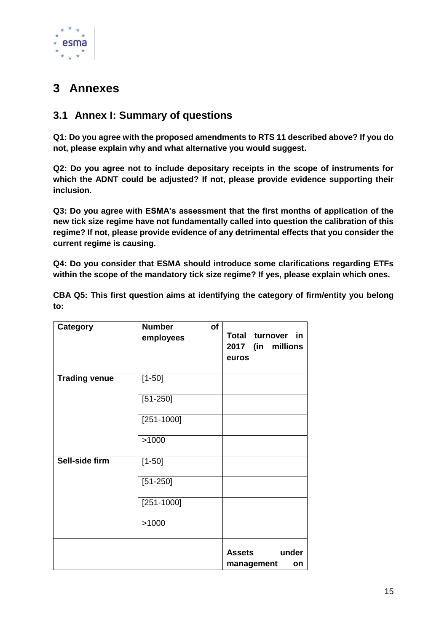

# <span id="page-14-0"></span>**3 Annexes**

### <span id="page-14-1"></span>**3.1 Annex I: Summary of questions**

**Q1: Do you agree with the proposed amendments to RTS 11 described above? If you do not, please explain why and what alternative you would suggest.**

**Q2: Do you agree not to include depositary receipts in the scope of instruments for which the ADNT could be adjusted? If not, please provide evidence supporting their inclusion.**

**Q3: Do you agree with ESMA's assessment that the first months of application of the new tick size regime have not fundamentally called into question the calibration of this regime? If not, please provide evidence of any detrimental effects that you consider the current regime is causing.**

**Q4: Do you consider that ESMA should introduce some clarifications regarding ETFs within the scope of the mandatory tick size regime? If yes, please explain which ones.**

**CBA Q5: This first question aims at identifying the category of firm/entity you belong to:**

| Category             | <b>Number</b><br>of<br>employees | Total turnover in<br>2017 (in millions<br>euros |
|----------------------|----------------------------------|-------------------------------------------------|
| <b>Trading venue</b> | $[1 - 50]$                       |                                                 |
|                      | $[51 - 250]$                     |                                                 |
|                      | $[251 - 1000]$                   |                                                 |
|                      | >1000                            |                                                 |
| Sell-side firm       | $[1 - 50]$                       |                                                 |
|                      | $[51 - 250]$                     |                                                 |
|                      | $[251 - 1000]$                   |                                                 |
|                      | >1000                            |                                                 |
|                      |                                  | <b>Assets</b><br>under<br>management<br>on      |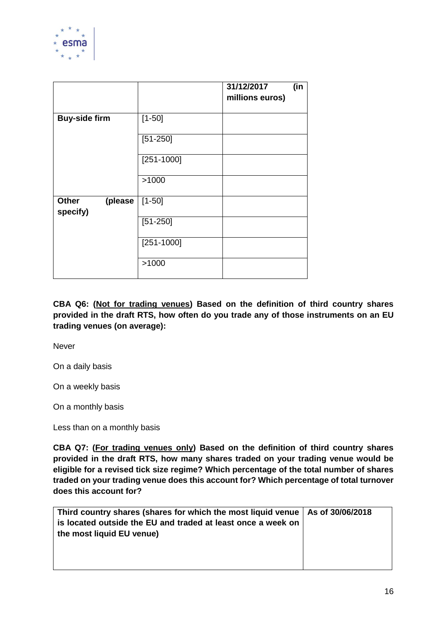

|                                     |                | 31/12/2017<br>millions euros) | (in |
|-------------------------------------|----------------|-------------------------------|-----|
| <b>Buy-side firm</b>                | $[1 - 50]$     |                               |     |
|                                     | $[51 - 250]$   |                               |     |
|                                     | $[251 - 1000]$ |                               |     |
|                                     | >1000          |                               |     |
| <b>Other</b><br>(please<br>specify) | $[1 - 50]$     |                               |     |
|                                     | $[51 - 250]$   |                               |     |
|                                     | $[251 - 1000]$ |                               |     |
|                                     | >1000          |                               |     |

**CBA Q6: (Not for trading venues) Based on the definition of third country shares provided in the draft RTS, how often do you trade any of those instruments on an EU trading venues (on average):**

Never

On a daily basis

On a weekly basis

On a monthly basis

Less than on a monthly basis

**CBA Q7: (For trading venues only) Based on the definition of third country shares provided in the draft RTS, how many shares traded on your trading venue would be eligible for a revised tick size regime? Which percentage of the total number of shares traded on your trading venue does this account for? Which percentage of total turnover does this account for?**

| Third country shares (shares for which the most liquid venue   As of 30/06/2018 |  |
|---------------------------------------------------------------------------------|--|
| is located outside the EU and traded at least once a week on                    |  |
| the most liquid EU venue)                                                       |  |
|                                                                                 |  |
|                                                                                 |  |
|                                                                                 |  |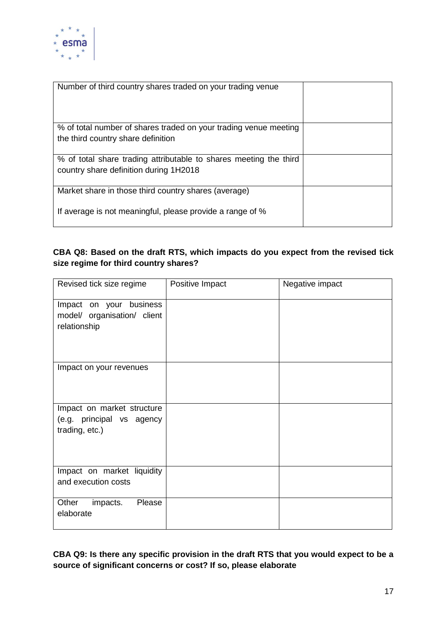

| Number of third country shares traded on your trading venue                                                       |  |
|-------------------------------------------------------------------------------------------------------------------|--|
| % of total number of shares traded on your trading venue meeting<br>the third country share definition            |  |
| % of total share trading attributable to shares meeting the third<br>country share definition during 1H2018       |  |
| Market share in those third country shares (average)<br>If average is not meaningful, please provide a range of % |  |

#### **CBA Q8: Based on the draft RTS, which impacts do you expect from the revised tick size regime for third country shares?**

| Revised tick size regime    | Positive Impact | Negative impact |
|-----------------------------|-----------------|-----------------|
| Impact on your business     |                 |                 |
| model/ organisation/ client |                 |                 |
| relationship                |                 |                 |
|                             |                 |                 |
| Impact on your revenues     |                 |                 |
|                             |                 |                 |
|                             |                 |                 |
| Impact on market structure  |                 |                 |
| (e.g. principal vs agency   |                 |                 |
| trading, etc.)              |                 |                 |
|                             |                 |                 |
|                             |                 |                 |
| Impact on market liquidity  |                 |                 |
| and execution costs         |                 |                 |
| Please<br>Other<br>impacts. |                 |                 |
| elaborate                   |                 |                 |

**CBA Q9: Is there any specific provision in the draft RTS that you would expect to be a source of significant concerns or cost? If so, please elaborate**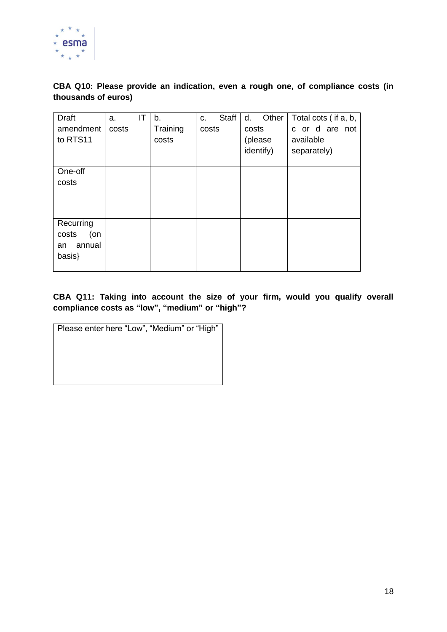

**CBA Q10: Please provide an indication, even a rough one, of compliance costs (in thousands of euros)**

| <b>Draft</b><br>amendment<br>to RTS11 | a.<br>costs | ΙT | b.<br>Training<br>costs | Staff<br>C.<br>costs | Other<br>d.<br>costs<br>(please<br>identify) | Total cots (if a, b,<br>c or d are not<br>available<br>separately) |
|---------------------------------------|-------------|----|-------------------------|----------------------|----------------------------------------------|--------------------------------------------------------------------|
| One-off                               |             |    |                         |                      |                                              |                                                                    |
| costs                                 |             |    |                         |                      |                                              |                                                                    |
|                                       |             |    |                         |                      |                                              |                                                                    |
|                                       |             |    |                         |                      |                                              |                                                                    |
| Recurring                             |             |    |                         |                      |                                              |                                                                    |
| costs<br>(on                          |             |    |                         |                      |                                              |                                                                    |
| annual<br>an                          |             |    |                         |                      |                                              |                                                                    |
| basis}                                |             |    |                         |                      |                                              |                                                                    |
|                                       |             |    |                         |                      |                                              |                                                                    |

**CBA Q11: Taking into account the size of your firm, would you qualify overall compliance costs as "low", "medium" or "high"?**

| Please enter here "Low", "Medium" or "High" |
|---------------------------------------------|
|                                             |
|                                             |
|                                             |
|                                             |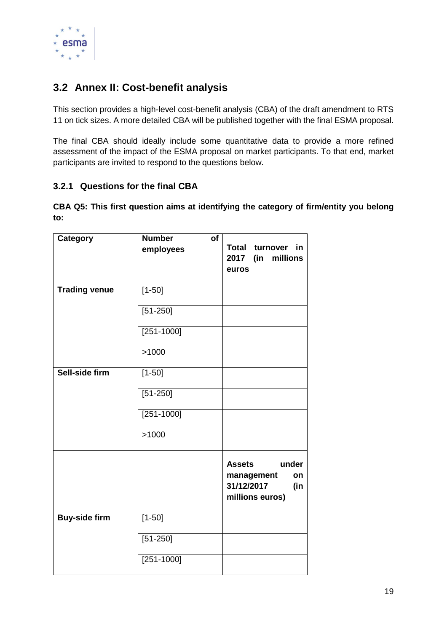

# <span id="page-18-0"></span>**3.2 Annex II: Cost-benefit analysis**

This section provides a high-level cost-benefit analysis (CBA) of the draft amendment to RTS 11 on tick sizes. A more detailed CBA will be published together with the final ESMA proposal.

The final CBA should ideally include some quantitative data to provide a more refined assessment of the impact of the ESMA proposal on market participants. To that end, market participants are invited to respond to the questions below.

#### **3.2.1 Questions for the final CBA**

**CBA Q5: This first question aims at identifying the category of firm/entity you belong to:**

| <b>Category</b>      | <b>Number</b><br>of |                                                                                    |
|----------------------|---------------------|------------------------------------------------------------------------------------|
|                      | employees           | Total turnover<br>in.<br>2017 (in millions<br>euros                                |
| <b>Trading venue</b> | $[1 - 50]$          |                                                                                    |
|                      | $[51 - 250]$        |                                                                                    |
|                      | $[251 - 1000]$      |                                                                                    |
|                      | >1000               |                                                                                    |
| Sell-side firm       | $[1 - 50]$          |                                                                                    |
|                      | $[51 - 250]$        |                                                                                    |
|                      | $[251 - 1000]$      |                                                                                    |
|                      | >1000               |                                                                                    |
|                      |                     | <b>Assets</b><br>under<br>management<br>on<br>31/12/2017<br>(in<br>millions euros) |
| <b>Buy-side firm</b> | $[1 - 50]$          |                                                                                    |
|                      | $[51 - 250]$        |                                                                                    |
|                      | $[251 - 1000]$      |                                                                                    |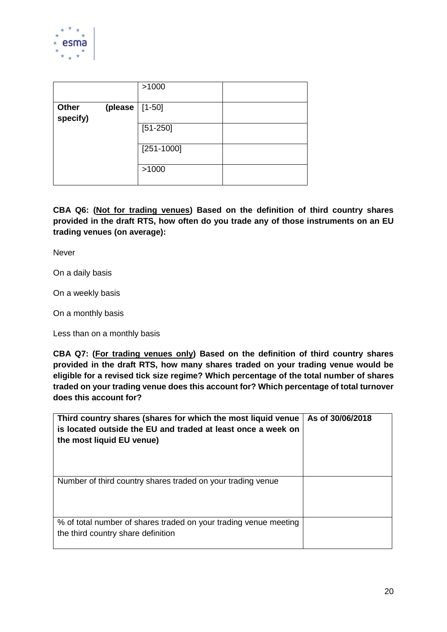

|                          |         | >1000          |  |
|--------------------------|---------|----------------|--|
| <b>Other</b><br>specify) | (please | $[1 - 50]$     |  |
|                          |         | $[51 - 250]$   |  |
|                          |         | $[251 - 1000]$ |  |
|                          |         | >1000          |  |

**CBA Q6: (Not for trading venues) Based on the definition of third country shares provided in the draft RTS, how often do you trade any of those instruments on an EU trading venues (on average):**

Never

On a daily basis

On a weekly basis

On a monthly basis

Less than on a monthly basis

**CBA Q7: (For trading venues only) Based on the definition of third country shares provided in the draft RTS, how many shares traded on your trading venue would be eligible for a revised tick size regime? Which percentage of the total number of shares traded on your trading venue does this account for? Which percentage of total turnover does this account for?**

| Third country shares (shares for which the most liquid venue<br>is located outside the EU and traded at least once a week on<br>the most liquid EU venue) | As of 30/06/2018 |
|-----------------------------------------------------------------------------------------------------------------------------------------------------------|------------------|
| Number of third country shares traded on your trading venue                                                                                               |                  |
| % of total number of shares traded on your trading venue meeting<br>the third country share definition                                                    |                  |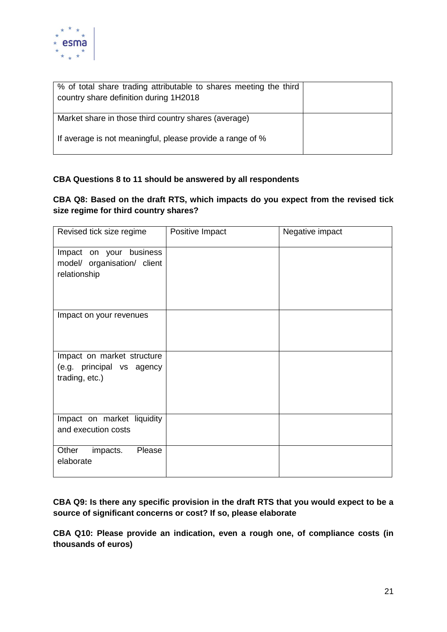

| % of total share trading attributable to shares meeting the third<br>country share definition during 1H2018 |  |
|-------------------------------------------------------------------------------------------------------------|--|
| Market share in those third country shares (average)                                                        |  |
| If average is not meaningful, please provide a range of %                                                   |  |

#### **CBA Questions 8 to 11 should be answered by all respondents**

#### **CBA Q8: Based on the draft RTS, which impacts do you expect from the revised tick size regime for third country shares?**

| Revised tick size regime    | Positive Impact | Negative impact |
|-----------------------------|-----------------|-----------------|
| Impact on your business     |                 |                 |
| model/ organisation/ client |                 |                 |
| relationship                |                 |                 |
|                             |                 |                 |
|                             |                 |                 |
| Impact on your revenues     |                 |                 |
|                             |                 |                 |
|                             |                 |                 |
| Impact on market structure  |                 |                 |
| (e.g. principal vs agency   |                 |                 |
| trading, etc.)              |                 |                 |
|                             |                 |                 |
|                             |                 |                 |
| Impact on market liquidity  |                 |                 |
| and execution costs         |                 |                 |
|                             |                 |                 |
| Other<br>impacts.<br>Please |                 |                 |
| elaborate                   |                 |                 |
|                             |                 |                 |

**CBA Q9: Is there any specific provision in the draft RTS that you would expect to be a source of significant concerns or cost? If so, please elaborate**

**CBA Q10: Please provide an indication, even a rough one, of compliance costs (in thousands of euros)**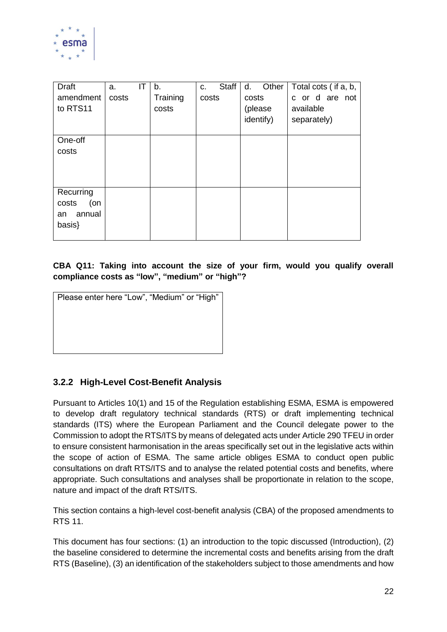

| <b>Draft</b><br>amendment<br>to RTS11               | a.<br>costs | IT | b.<br>Training<br>costs | <b>Staff</b><br>C.<br>costs | Other<br>d.<br>costs<br>(please<br>identify) | Total cots (if a, b,<br>c or d are not<br>available<br>separately) |
|-----------------------------------------------------|-------------|----|-------------------------|-----------------------------|----------------------------------------------|--------------------------------------------------------------------|
| One-off<br>costs                                    |             |    |                         |                             |                                              |                                                                    |
| Recurring<br>costs<br>(on<br>annual<br>an<br>basis} |             |    |                         |                             |                                              |                                                                    |

#### **CBA Q11: Taking into account the size of your firm, would you qualify overall compliance costs as "low", "medium" or "high"?**

| Please enter here "Low", "Medium" or "High" |
|---------------------------------------------|
|                                             |
|                                             |
|                                             |
|                                             |

#### **3.2.2 High-Level Cost-Benefit Analysis**

Pursuant to Articles 10(1) and 15 of the Regulation establishing ESMA, ESMA is empowered to develop draft regulatory technical standards (RTS) or draft implementing technical standards (ITS) where the European Parliament and the Council delegate power to the Commission to adopt the RTS/ITS by means of delegated acts under Article 290 TFEU in order to ensure consistent harmonisation in the areas specifically set out in the legislative acts within the scope of action of ESMA. The same article obliges ESMA to conduct open public consultations on draft RTS/ITS and to analyse the related potential costs and benefits, where appropriate. Such consultations and analyses shall be proportionate in relation to the scope, nature and impact of the draft RTS/ITS.

This section contains a high-level cost-benefit analysis (CBA) of the proposed amendments to RTS 11.

This document has four sections: (1) an introduction to the topic discussed (Introduction), (2) the baseline considered to determine the incremental costs and benefits arising from the draft RTS (Baseline), (3) an identification of the stakeholders subject to those amendments and how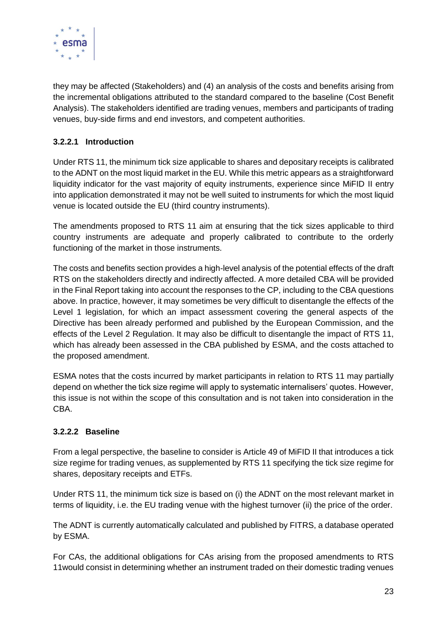

they may be affected (Stakeholders) and (4) an analysis of the costs and benefits arising from the incremental obligations attributed to the standard compared to the baseline (Cost Benefit Analysis). The stakeholders identified are trading venues, members and participants of trading venues, buy-side firms and end investors, and competent authorities.

#### **3.2.2.1 Introduction**

Under RTS 11, the minimum tick size applicable to shares and depositary receipts is calibrated to the ADNT on the most liquid market in the EU. While this metric appears as a straightforward liquidity indicator for the vast majority of equity instruments, experience since MiFID II entry into application demonstrated it may not be well suited to instruments for which the most liquid venue is located outside the EU (third country instruments).

The amendments proposed to RTS 11 aim at ensuring that the tick sizes applicable to third country instruments are adequate and properly calibrated to contribute to the orderly functioning of the market in those instruments.

The costs and benefits section provides a high-level analysis of the potential effects of the draft RTS on the stakeholders directly and indirectly affected. A more detailed CBA will be provided in the Final Report taking into account the responses to the CP, including to the CBA questions above. In practice, however, it may sometimes be very difficult to disentangle the effects of the Level 1 legislation, for which an impact assessment covering the general aspects of the Directive has been already performed and published by the European Commission, and the effects of the Level 2 Regulation. It may also be difficult to disentangle the impact of RTS 11, which has already been assessed in the CBA published by ESMA, and the costs attached to the proposed amendment.

ESMA notes that the costs incurred by market participants in relation to RTS 11 may partially depend on whether the tick size regime will apply to systematic internalisers' quotes. However, this issue is not within the scope of this consultation and is not taken into consideration in the CBA.

#### **3.2.2.2 Baseline**

From a legal perspective, the baseline to consider is Article 49 of MiFID II that introduces a tick size regime for trading venues, as supplemented by RTS 11 specifying the tick size regime for shares, depositary receipts and ETFs.

Under RTS 11, the minimum tick size is based on (i) the ADNT on the most relevant market in terms of liquidity, i.e. the EU trading venue with the highest turnover (ii) the price of the order.

The ADNT is currently automatically calculated and published by FITRS, a database operated by ESMA.

For CAs, the additional obligations for CAs arising from the proposed amendments to RTS 11would consist in determining whether an instrument traded on their domestic trading venues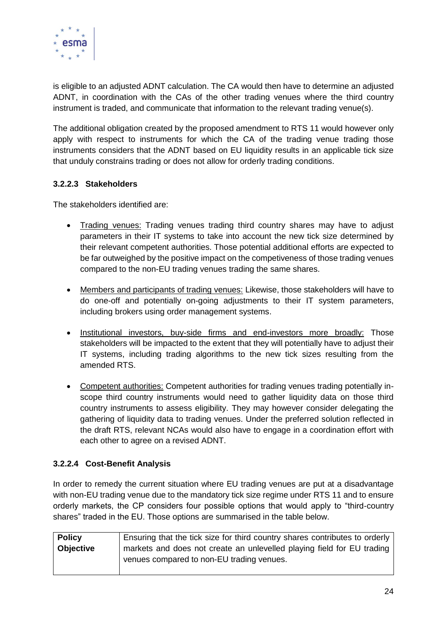

is eligible to an adjusted ADNT calculation. The CA would then have to determine an adjusted ADNT, in coordination with the CAs of the other trading venues where the third country instrument is traded, and communicate that information to the relevant trading venue(s).

The additional obligation created by the proposed amendment to RTS 11 would however only apply with respect to instruments for which the CA of the trading venue trading those instruments considers that the ADNT based on EU liquidity results in an applicable tick size that unduly constrains trading or does not allow for orderly trading conditions.

#### **3.2.2.3 Stakeholders**

The stakeholders identified are:

- Trading venues: Trading venues trading third country shares may have to adjust parameters in their IT systems to take into account the new tick size determined by their relevant competent authorities. Those potential additional efforts are expected to be far outweighed by the positive impact on the competiveness of those trading venues compared to the non-EU trading venues trading the same shares.
- Members and participants of trading venues: Likewise, those stakeholders will have to do one-off and potentially on-going adjustments to their IT system parameters, including brokers using order management systems.
- Institutional investors, buy-side firms and end-investors more broadly: Those stakeholders will be impacted to the extent that they will potentially have to adjust their IT systems, including trading algorithms to the new tick sizes resulting from the amended RTS.
- Competent authorities: Competent authorities for trading venues trading potentially inscope third country instruments would need to gather liquidity data on those third country instruments to assess eligibility. They may however consider delegating the gathering of liquidity data to trading venues. Under the preferred solution reflected in the draft RTS, relevant NCAs would also have to engage in a coordination effort with each other to agree on a revised ADNT.

#### **3.2.2.4 Cost-Benefit Analysis**

In order to remedy the current situation where EU trading venues are put at a disadvantage with non-EU trading venue due to the mandatory tick size regime under RTS 11 and to ensure orderly markets, the CP considers four possible options that would apply to "third-country shares" traded in the EU. Those options are summarised in the table below.

| <b>Policy</b>    | Ensuring that the tick size for third country shares contributes to orderly |
|------------------|-----------------------------------------------------------------------------|
| <b>Objective</b> | markets and does not create an unlevelled playing field for EU trading      |
|                  | venues compared to non-EU trading venues.                                   |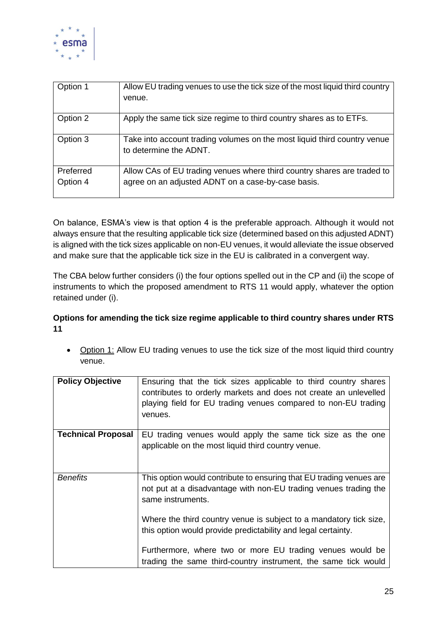

| Option 1  | Allow EU trading venues to use the tick size of the most liquid third country<br>venue.            |
|-----------|----------------------------------------------------------------------------------------------------|
| Option 2  | Apply the same tick size regime to third country shares as to ETFs.                                |
| Option 3  | Take into account trading volumes on the most liquid third country venue<br>to determine the ADNT. |
| Preferred | Allow CAs of EU trading venues where third country shares are traded to                            |
| Option 4  | agree on an adjusted ADNT on a case-by-case basis.                                                 |

On balance, ESMA's view is that option 4 is the preferable approach. Although it would not always ensure that the resulting applicable tick size (determined based on this adjusted ADNT) is aligned with the tick sizes applicable on non-EU venues, it would alleviate the issue observed and make sure that the applicable tick size in the EU is calibrated in a convergent way.

The CBA below further considers (i) the four options spelled out in the CP and (ii) the scope of instruments to which the proposed amendment to RTS 11 would apply, whatever the option retained under (i).

#### **Options for amending the tick size regime applicable to third country shares under RTS 11**

• Option 1: Allow EU trading venues to use the tick size of the most liquid third country venue.

| <b>Policy Objective</b>   | Ensuring that the tick sizes applicable to third country shares<br>contributes to orderly markets and does not create an unlevelled<br>playing field for EU trading venues compared to non-EU trading<br>venues. |
|---------------------------|------------------------------------------------------------------------------------------------------------------------------------------------------------------------------------------------------------------|
| <b>Technical Proposal</b> | EU trading venues would apply the same tick size as the one                                                                                                                                                      |
|                           | applicable on the most liquid third country venue.                                                                                                                                                               |
| <b>Benefits</b>           | This option would contribute to ensuring that EU trading venues are                                                                                                                                              |
|                           | not put at a disadvantage with non-EU trading venues trading the<br>same instruments.                                                                                                                            |
|                           | Where the third country venue is subject to a mandatory tick size,                                                                                                                                               |
|                           | this option would provide predictability and legal certainty.                                                                                                                                                    |
|                           | Furthermore, where two or more EU trading venues would be<br>trading the same third-country instrument, the same tick would                                                                                      |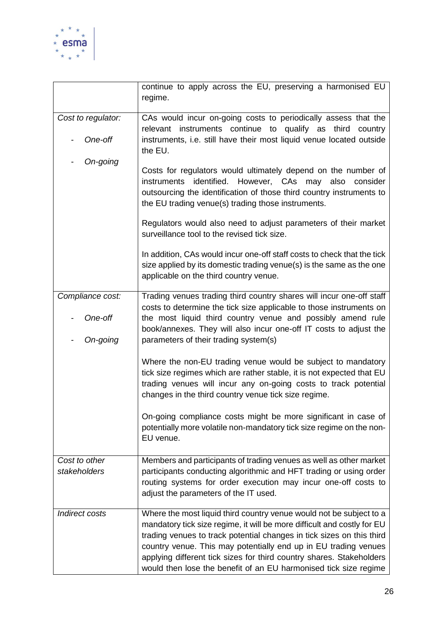

|                               | continue to apply across the EU, preserving a harmonised EU<br>regime.                                                                                                                                                                                                                                                                                                                                                                 |
|-------------------------------|----------------------------------------------------------------------------------------------------------------------------------------------------------------------------------------------------------------------------------------------------------------------------------------------------------------------------------------------------------------------------------------------------------------------------------------|
| Cost to regulator:            | CAs would incur on-going costs to periodically assess that the<br>relevant instruments continue to qualify as<br>third<br>country                                                                                                                                                                                                                                                                                                      |
| One-off                       | instruments, i.e. still have their most liquid venue located outside<br>the EU.                                                                                                                                                                                                                                                                                                                                                        |
| On-going                      | Costs for regulators would ultimately depend on the number of<br>identified.<br>instruments<br>However, CAs<br>may<br>also<br>consider<br>outsourcing the identification of those third country instruments to<br>the EU trading venue(s) trading those instruments.                                                                                                                                                                   |
|                               | Regulators would also need to adjust parameters of their market<br>surveillance tool to the revised tick size.                                                                                                                                                                                                                                                                                                                         |
|                               | In addition, CAs would incur one-off staff costs to check that the tick<br>size applied by its domestic trading venue(s) is the same as the one<br>applicable on the third country venue.                                                                                                                                                                                                                                              |
| Compliance cost:              | Trading venues trading third country shares will incur one-off staff<br>costs to determine the tick size applicable to those instruments on                                                                                                                                                                                                                                                                                            |
| One-off                       | the most liquid third country venue and possibly amend rule<br>book/annexes. They will also incur one-off IT costs to adjust the                                                                                                                                                                                                                                                                                                       |
| On-going                      | parameters of their trading system(s)                                                                                                                                                                                                                                                                                                                                                                                                  |
|                               | Where the non-EU trading venue would be subject to mandatory<br>tick size regimes which are rather stable, it is not expected that EU<br>trading venues will incur any on-going costs to track potential<br>changes in the third country venue tick size regime.                                                                                                                                                                       |
|                               | On-going compliance costs might be more significant in case of<br>potentially more volatile non-mandatory tick size regime on the non-<br>EU venue.                                                                                                                                                                                                                                                                                    |
| Cost to other<br>stakeholders | Members and participants of trading venues as well as other market<br>participants conducting algorithmic and HFT trading or using order<br>routing systems for order execution may incur one-off costs to<br>adjust the parameters of the IT used.                                                                                                                                                                                    |
| Indirect costs                | Where the most liquid third country venue would not be subject to a<br>mandatory tick size regime, it will be more difficult and costly for EU<br>trading venues to track potential changes in tick sizes on this third<br>country venue. This may potentially end up in EU trading venues<br>applying different tick sizes for third country shares. Stakeholders<br>would then lose the benefit of an EU harmonised tick size regime |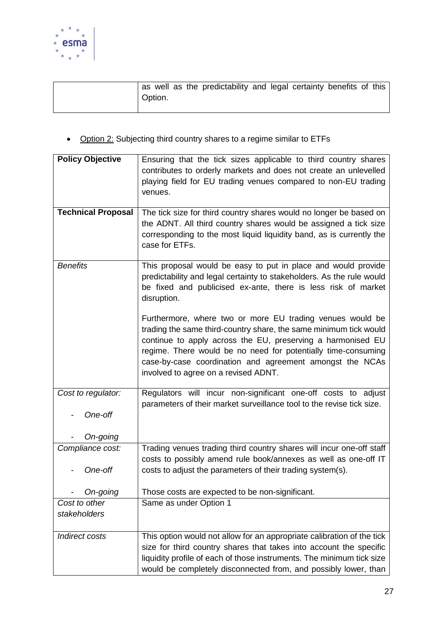

|         |  | as well as the predictability and legal certainty benefits of this |  |  |  |
|---------|--|--------------------------------------------------------------------|--|--|--|
| Option. |  |                                                                    |  |  |  |
|         |  |                                                                    |  |  |  |

• Option 2: Subjecting third country shares to a regime similar to ETFs

| <b>Policy Objective</b>       | Ensuring that the tick sizes applicable to third country shares<br>contributes to orderly markets and does not create an unlevelled<br>playing field for EU trading venues compared to non-EU trading<br>venues.                                                                                                                                                   |
|-------------------------------|--------------------------------------------------------------------------------------------------------------------------------------------------------------------------------------------------------------------------------------------------------------------------------------------------------------------------------------------------------------------|
| <b>Technical Proposal</b>     | The tick size for third country shares would no longer be based on<br>the ADNT. All third country shares would be assigned a tick size<br>corresponding to the most liquid liquidity band, as is currently the<br>case for ETFs.                                                                                                                                   |
| <b>Benefits</b>               | This proposal would be easy to put in place and would provide<br>predictability and legal certainty to stakeholders. As the rule would<br>be fixed and publicised ex-ante, there is less risk of market<br>disruption.                                                                                                                                             |
|                               | Furthermore, where two or more EU trading venues would be<br>trading the same third-country share, the same minimum tick would<br>continue to apply across the EU, preserving a harmonised EU<br>regime. There would be no need for potentially time-consuming<br>case-by-case coordination and agreement amongst the NCAs<br>involved to agree on a revised ADNT. |
| Cost to regulator:<br>One-off | Regulators will incur non-significant one-off costs to adjust<br>parameters of their market surveillance tool to the revise tick size.                                                                                                                                                                                                                             |
| On-going                      |                                                                                                                                                                                                                                                                                                                                                                    |
| Compliance cost:<br>One-off   | Trading venues trading third country shares will incur one-off staff<br>costs to possibly amend rule book/annexes as well as one-off IT<br>costs to adjust the parameters of their trading system(s).                                                                                                                                                              |
| On-going                      | Those costs are expected to be non-significant.                                                                                                                                                                                                                                                                                                                    |
| Cost to other<br>stakeholders | Same as under Option 1                                                                                                                                                                                                                                                                                                                                             |
| Indirect costs                | This option would not allow for an appropriate calibration of the tick<br>size for third country shares that takes into account the specific<br>liquidity profile of each of those instruments. The minimum tick size<br>would be completely disconnected from, and possibly lower, than                                                                           |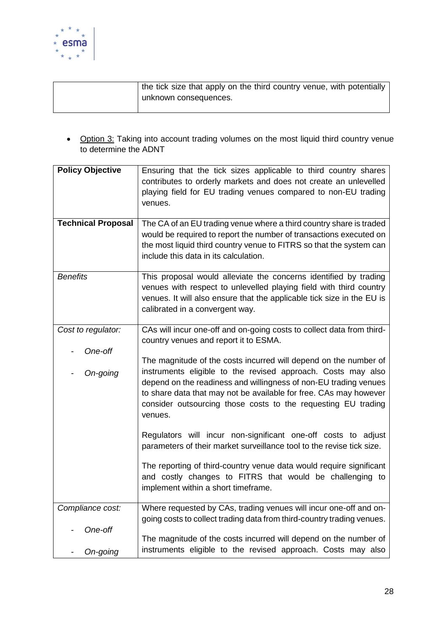

| the tick size that apply on the third country venue, with potentially |
|-----------------------------------------------------------------------|
| unknown consequences.                                                 |
|                                                                       |

• Option 3: Taking into account trading volumes on the most liquid third country venue to determine the ADNT

| <b>Policy Objective</b>   | Ensuring that the tick sizes applicable to third country shares<br>contributes to orderly markets and does not create an unlevelled<br>playing field for EU trading venues compared to non-EU trading<br>venues.                                                                                                                                      |
|---------------------------|-------------------------------------------------------------------------------------------------------------------------------------------------------------------------------------------------------------------------------------------------------------------------------------------------------------------------------------------------------|
| <b>Technical Proposal</b> | The CA of an EU trading venue where a third country share is traded<br>would be required to report the number of transactions executed on<br>the most liquid third country venue to FITRS so that the system can<br>include this data in its calculation.                                                                                             |
| <b>Benefits</b>           | This proposal would alleviate the concerns identified by trading<br>venues with respect to unlevelled playing field with third country<br>venues. It will also ensure that the applicable tick size in the EU is<br>calibrated in a convergent way.                                                                                                   |
| Cost to regulator:        | CAs will incur one-off and on-going costs to collect data from third-<br>country venues and report it to ESMA.                                                                                                                                                                                                                                        |
| One-off<br>On-going       | The magnitude of the costs incurred will depend on the number of<br>instruments eligible to the revised approach. Costs may also<br>depend on the readiness and willingness of non-EU trading venues<br>to share data that may not be available for free. CAs may however<br>consider outsourcing those costs to the requesting EU trading<br>venues. |
|                           | Regulators will incur non-significant one-off costs to adjust<br>parameters of their market surveillance tool to the revise tick size.                                                                                                                                                                                                                |
|                           | The reporting of third-country venue data would require significant<br>and costly changes to FITRS that would be challenging to<br>implement within a short timeframe.                                                                                                                                                                                |
| Compliance cost:          | Where requested by CAs, trading venues will incur one-off and on-                                                                                                                                                                                                                                                                                     |
| One-off                   | going costs to collect trading data from third-country trading venues.                                                                                                                                                                                                                                                                                |
|                           | The magnitude of the costs incurred will depend on the number of                                                                                                                                                                                                                                                                                      |
| On-going                  | instruments eligible to the revised approach. Costs may also                                                                                                                                                                                                                                                                                          |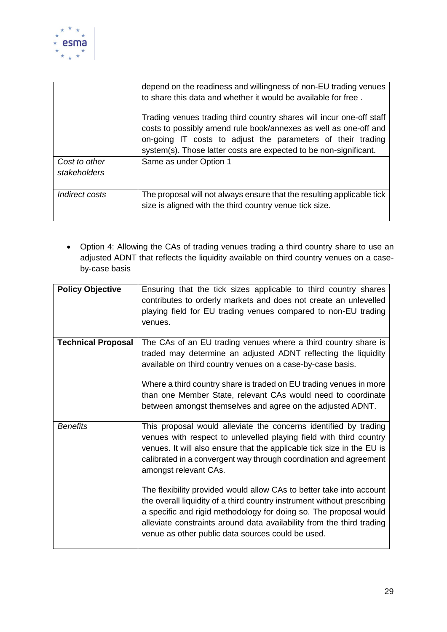

|                               | depend on the readiness and willingness of non-EU trading venues<br>to share this data and whether it would be available for free.                                                                                                                                           |
|-------------------------------|------------------------------------------------------------------------------------------------------------------------------------------------------------------------------------------------------------------------------------------------------------------------------|
|                               | Trading venues trading third country shares will incur one-off staff<br>costs to possibly amend rule book/annexes as well as one-off and<br>on-going IT costs to adjust the parameters of their trading<br>system(s). Those latter costs are expected to be non-significant. |
| Cost to other<br>stakeholders | Same as under Option 1                                                                                                                                                                                                                                                       |
| Indirect costs                | The proposal will not always ensure that the resulting applicable tick<br>size is aligned with the third country venue tick size.                                                                                                                                            |

• Option 4: Allowing the CAs of trading venues trading a third country share to use an adjusted ADNT that reflects the liquidity available on third country venues on a caseby-case basis

| <b>Policy Objective</b>   | Ensuring that the tick sizes applicable to third country shares<br>contributes to orderly markets and does not create an unlevelled<br>playing field for EU trading venues compared to non-EU trading<br>venues.                                                                                                                                                                                                                                                                                                                                                                                                                                                     |
|---------------------------|----------------------------------------------------------------------------------------------------------------------------------------------------------------------------------------------------------------------------------------------------------------------------------------------------------------------------------------------------------------------------------------------------------------------------------------------------------------------------------------------------------------------------------------------------------------------------------------------------------------------------------------------------------------------|
| <b>Technical Proposal</b> | The CAs of an EU trading venues where a third country share is<br>traded may determine an adjusted ADNT reflecting the liquidity<br>available on third country venues on a case-by-case basis.<br>Where a third country share is traded on EU trading venues in more<br>than one Member State, relevant CAs would need to coordinate<br>between amongst themselves and agree on the adjusted ADNT.                                                                                                                                                                                                                                                                   |
| <b>Benefits</b>           | This proposal would alleviate the concerns identified by trading<br>venues with respect to unlevelled playing field with third country<br>venues. It will also ensure that the applicable tick size in the EU is<br>calibrated in a convergent way through coordination and agreement<br>amongst relevant CAs.<br>The flexibility provided would allow CAs to better take into account<br>the overall liquidity of a third country instrument without prescribing<br>a specific and rigid methodology for doing so. The proposal would<br>alleviate constraints around data availability from the third trading<br>venue as other public data sources could be used. |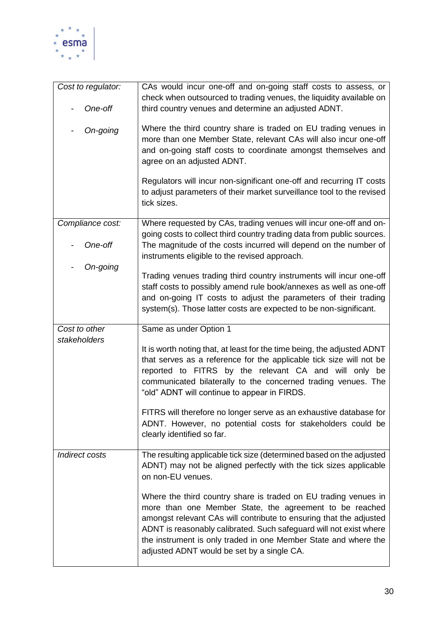

| Cost to regulator:            | CAs would incur one-off and on-going staff costs to assess, or<br>check when outsourced to trading venues, the liquidity available on                                                                                                                                                                                                                                                   |
|-------------------------------|-----------------------------------------------------------------------------------------------------------------------------------------------------------------------------------------------------------------------------------------------------------------------------------------------------------------------------------------------------------------------------------------|
| One-off                       | third country venues and determine an adjusted ADNT.                                                                                                                                                                                                                                                                                                                                    |
| On-going                      | Where the third country share is traded on EU trading venues in<br>more than one Member State, relevant CAs will also incur one-off<br>and on-going staff costs to coordinate amongst themselves and<br>agree on an adjusted ADNT.                                                                                                                                                      |
|                               | Regulators will incur non-significant one-off and recurring IT costs<br>to adjust parameters of their market surveillance tool to the revised<br>tick sizes.                                                                                                                                                                                                                            |
| Compliance cost:              | Where requested by CAs, trading venues will incur one-off and on-<br>going costs to collect third country trading data from public sources.                                                                                                                                                                                                                                             |
| One-off                       | The magnitude of the costs incurred will depend on the number of<br>instruments eligible to the revised approach.                                                                                                                                                                                                                                                                       |
| On-going                      | Trading venues trading third country instruments will incur one-off                                                                                                                                                                                                                                                                                                                     |
|                               | staff costs to possibly amend rule book/annexes as well as one-off                                                                                                                                                                                                                                                                                                                      |
|                               | and on-going IT costs to adjust the parameters of their trading<br>system(s). Those latter costs are expected to be non-significant.                                                                                                                                                                                                                                                    |
| Cost to other<br>stakeholders | Same as under Option 1                                                                                                                                                                                                                                                                                                                                                                  |
|                               | It is worth noting that, at least for the time being, the adjusted ADNT<br>that serves as a reference for the applicable tick size will not be<br>reported to FITRS by the relevant CA and will only be<br>communicated bilaterally to the concerned trading venues. The<br>"old" ADNT will continue to appear in FIRDS.                                                                |
|                               | FITRS will therefore no longer serve as an exhaustive database for<br>ADNT. However, no potential costs for stakeholders could be<br>clearly identified so far.                                                                                                                                                                                                                         |
| <b>Indirect costs</b>         | The resulting applicable tick size (determined based on the adjusted<br>ADNT) may not be aligned perfectly with the tick sizes applicable<br>on non-EU venues.                                                                                                                                                                                                                          |
|                               | Where the third country share is traded on EU trading venues in<br>more than one Member State, the agreement to be reached<br>amongst relevant CAs will contribute to ensuring that the adjusted<br>ADNT is reasonably calibrated. Such safeguard will not exist where<br>the instrument is only traded in one Member State and where the<br>adjusted ADNT would be set by a single CA. |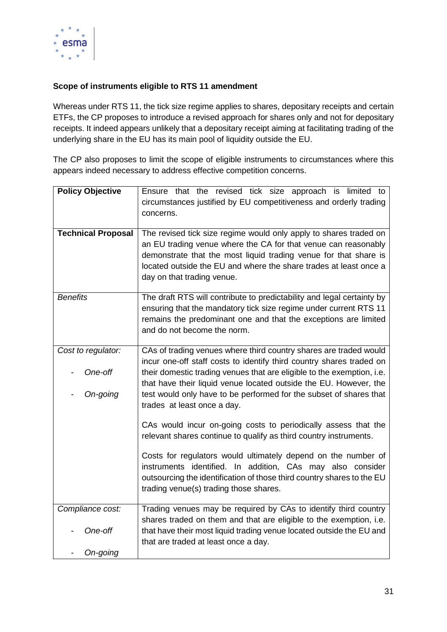

#### **Scope of instruments eligible to RTS 11 amendment**

Whereas under RTS 11, the tick size regime applies to shares, depositary receipts and certain ETFs, the CP proposes to introduce a revised approach for shares only and not for depositary receipts. It indeed appears unlikely that a depositary receipt aiming at facilitating trading of the underlying share in the EU has its main pool of liquidity outside the EU.

The CP also proposes to limit the scope of eligible instruments to circumstances where this appears indeed necessary to address effective competition concerns.

| <b>Policy Objective</b>                   | Ensure that the revised tick size approach is limited to<br>circumstances justified by EU competitiveness and orderly trading<br>concerns.                                                                                                                                                                                                                                                    |
|-------------------------------------------|-----------------------------------------------------------------------------------------------------------------------------------------------------------------------------------------------------------------------------------------------------------------------------------------------------------------------------------------------------------------------------------------------|
| <b>Technical Proposal</b>                 | The revised tick size regime would only apply to shares traded on<br>an EU trading venue where the CA for that venue can reasonably<br>demonstrate that the most liquid trading venue for that share is<br>located outside the EU and where the share trades at least once a<br>day on that trading venue.                                                                                    |
| <b>Benefits</b>                           | The draft RTS will contribute to predictability and legal certainty by<br>ensuring that the mandatory tick size regime under current RTS 11<br>remains the predominant one and that the exceptions are limited<br>and do not become the norm.                                                                                                                                                 |
| Cost to regulator:<br>One-off<br>On-going | CAs of trading venues where third country shares are traded would<br>incur one-off staff costs to identify third country shares traded on<br>their domestic trading venues that are eligible to the exemption, i.e.<br>that have their liquid venue located outside the EU. However, the<br>test would only have to be performed for the subset of shares that<br>trades at least once a day. |
|                                           | CAs would incur on-going costs to periodically assess that the<br>relevant shares continue to qualify as third country instruments.<br>Costs for regulators would ultimately depend on the number of<br>instruments identified. In addition, CAs may also consider<br>outsourcing the identification of those third country shares to the EU<br>trading venue(s) trading those shares.        |
| Compliance cost:<br>One-off<br>On-going   | Trading venues may be required by CAs to identify third country<br>shares traded on them and that are eligible to the exemption, i.e.<br>that have their most liquid trading venue located outside the EU and<br>that are traded at least once a day.                                                                                                                                         |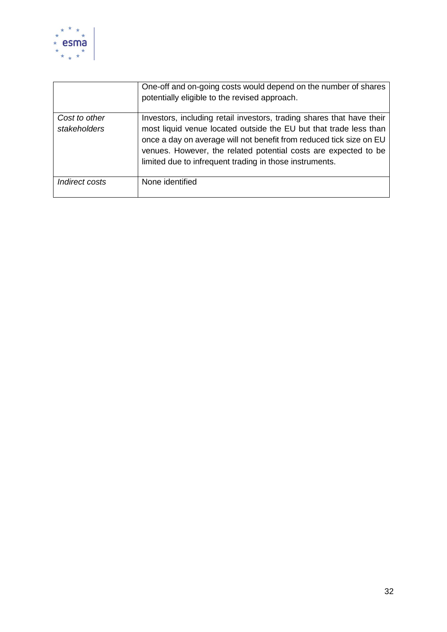

|                               | One-off and on-going costs would depend on the number of shares<br>potentially eligible to the revised approach.                                                                                                                                                                                                                                |
|-------------------------------|-------------------------------------------------------------------------------------------------------------------------------------------------------------------------------------------------------------------------------------------------------------------------------------------------------------------------------------------------|
| Cost to other<br>stakeholders | Investors, including retail investors, trading shares that have their<br>most liquid venue located outside the EU but that trade less than<br>once a day on average will not benefit from reduced tick size on EU<br>venues. However, the related potential costs are expected to be<br>limited due to infrequent trading in those instruments. |
| Indirect costs                | None identified                                                                                                                                                                                                                                                                                                                                 |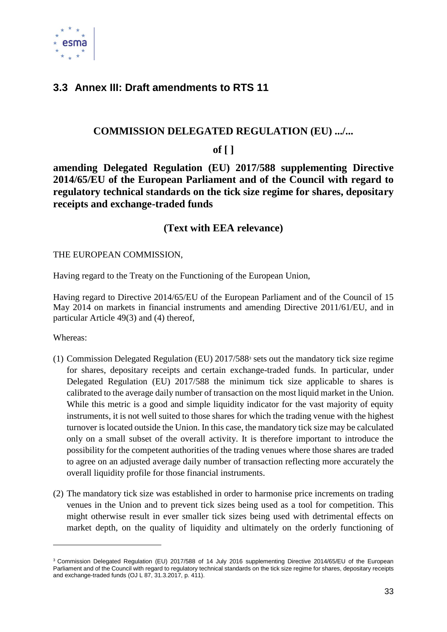

### <span id="page-32-0"></span>**3.3 Annex III: Draft amendments to RTS 11**

#### **COMMISSION DELEGATED REGULATION (EU) .../...**

#### **of [ ]**

**amending Delegated Regulation (EU) 2017/588 supplementing Directive 2014/65/EU of the European Parliament and of the Council with regard to regulatory technical standards on the tick size regime for shares, depositary receipts and exchange-traded funds**

#### **(Text with EEA relevance)**

THE EUROPEAN COMMISSION,

Having regard to the Treaty on the Functioning of the European Union,

Having regard to Directive 2014/65/EU of the European Parliament and of the Council of 15 May 2014 on markets in financial instruments and amending Directive 2011/61/EU, and in particular Article 49(3) and (4) thereof,

Whereas:

1

- (1) Commission Delegated Regulation (EU) 2017/588<sup>3</sup> sets out the mandatory tick size regime for shares, depositary receipts and certain exchange-traded funds. In particular, under Delegated Regulation (EU) 2017/588 the minimum tick size applicable to shares is calibrated to the average daily number of transaction on the most liquid market in the Union. While this metric is a good and simple liquidity indicator for the vast majority of equity instruments, it is not well suited to those shares for which the trading venue with the highest turnover is located outside the Union. In this case, the mandatory tick size may be calculated only on a small subset of the overall activity. It is therefore important to introduce the possibility for the competent authorities of the trading venues where those shares are traded to agree on an adjusted average daily number of transaction reflecting more accurately the overall liquidity profile for those financial instruments.
- (2) The mandatory tick size was established in order to harmonise price increments on trading venues in the Union and to prevent tick sizes being used as a tool for competition. This might otherwise result in ever smaller tick sizes being used with detrimental effects on market depth, on the quality of liquidity and ultimately on the orderly functioning of

<sup>3</sup> Commission Delegated Regulation (EU) 2017/588 of 14 July 2016 supplementing Directive 2014/65/EU of the European Parliament and of the Council with regard to regulatory technical standards on the tick size regime for shares, depositary receipts and exchange-traded funds (OJ L 87, 31.3.2017, p. 411).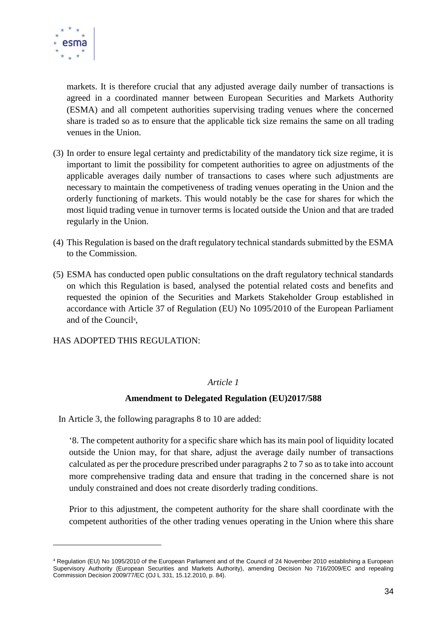

markets. It is therefore crucial that any adjusted average daily number of transactions is agreed in a coordinated manner between European Securities and Markets Authority (ESMA) and all competent authorities supervising trading venues where the concerned share is traded so as to ensure that the applicable tick size remains the same on all trading venues in the Union.

- (3) In order to ensure legal certainty and predictability of the mandatory tick size regime, it is important to limit the possibility for competent authorities to agree on adjustments of the applicable averages daily number of transactions to cases where such adjustments are necessary to maintain the competiveness of trading venues operating in the Union and the orderly functioning of markets. This would notably be the case for shares for which the most liquid trading venue in turnover terms is located outside the Union and that are traded regularly in the Union.
- (4) This Regulation is based on the draft regulatory technical standards submitted by the ESMA to the Commission.
- (5) ESMA has conducted open public consultations on the draft regulatory technical standards on which this Regulation is based, analysed the potential related costs and benefits and requested the opinion of the Securities and Markets Stakeholder Group established in accordance with Article 37 of Regulation (EU) No 1095/2010 of the European Parliament and of the Council<sup>4</sup>,

HAS ADOPTED THIS REGULATION:

1

#### *Article 1*

#### **Amendment to Delegated Regulation (EU)2017/588**

In Article 3, the following paragraphs 8 to 10 are added:

'8. The competent authority for a specific share which has its main pool of liquidity located outside the Union may, for that share, adjust the average daily number of transactions calculated as per the procedure prescribed under paragraphs 2 to 7 so as to take into account more comprehensive trading data and ensure that trading in the concerned share is not unduly constrained and does not create disorderly trading conditions.

Prior to this adjustment, the competent authority for the share shall coordinate with the competent authorities of the other trading venues operating in the Union where this share

<sup>4</sup> Regulation (EU) No 1095/2010 of the European Parliament and of the Council of 24 November 2010 establishing a European Supervisory Authority (European Securities and Markets Authority), amending Decision No 716/2009/EC and repealing Commission Decision 2009/77/EC (OJ L 331, 15.12.2010, p. 84).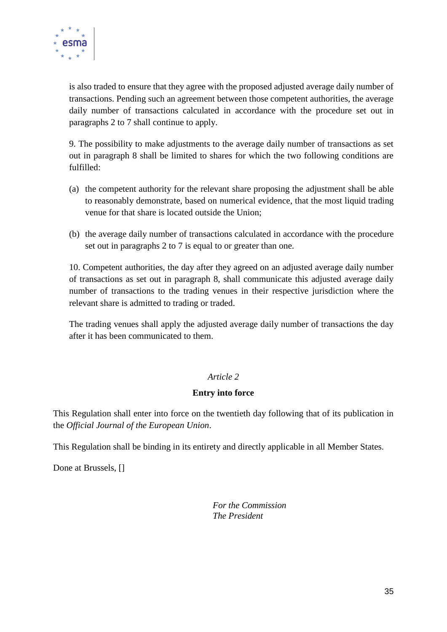

is also traded to ensure that they agree with the proposed adjusted average daily number of transactions. Pending such an agreement between those competent authorities, the average daily number of transactions calculated in accordance with the procedure set out in paragraphs 2 to 7 shall continue to apply.

9. The possibility to make adjustments to the average daily number of transactions as set out in paragraph 8 shall be limited to shares for which the two following conditions are fulfilled:

- (a) the competent authority for the relevant share proposing the adjustment shall be able to reasonably demonstrate, based on numerical evidence, that the most liquid trading venue for that share is located outside the Union;
- (b) the average daily number of transactions calculated in accordance with the procedure set out in paragraphs 2 to 7 is equal to or greater than one.

10. Competent authorities, the day after they agreed on an adjusted average daily number of transactions as set out in paragraph 8, shall communicate this adjusted average daily number of transactions to the trading venues in their respective jurisdiction where the relevant share is admitted to trading or traded.

The trading venues shall apply the adjusted average daily number of transactions the day after it has been communicated to them.

#### *Article 2*

#### **Entry into force**

This Regulation shall enter into force on the twentieth day following that of its publication in the *Official Journal of the European Union*.

This Regulation shall be binding in its entirety and directly applicable in all Member States.

Done at Brussels, []

*For the Commission The President*